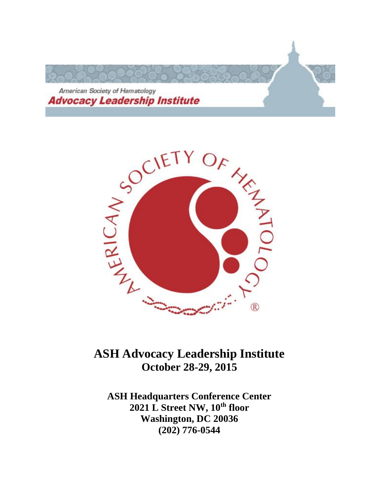



# **October 28-29, 2015**

**ASH Headquarters Conference Center 2021 L Street NW, 10th floor Washington, DC 20036 (202) 776-0544**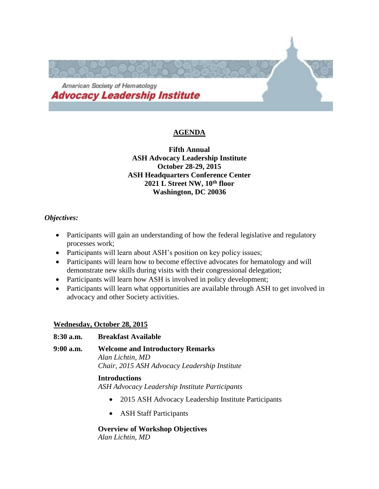

# **AGENDA**

**Fifth Annual ASH Advocacy Leadership Institute October 28-29, 2015 ASH Headquarters Conference Center 2021 L Street NW, 10th floor Washington, DC 20036**

#### *Objectives:*

- Participants will gain an understanding of how the federal legislative and regulatory processes work;
- Participants will learn about ASH's position on key policy issues;
- Participants will learn how to become effective advocates for hematology and will demonstrate new skills during visits with their congressional delegation;
- Participants will learn how ASH is involved in policy development;
- Participants will learn what opportunities are available through ASH to get involved in advocacy and other Society activities.

#### **Wednesday, October 28, 2015**

#### **8:30 a.m. Breakfast Available**

**9:00 a.m. Welcome and Introductory Remarks**

*Alan Lichtin, MD Chair, 2015 ASH Advocacy Leadership Institute*

#### **Introductions**

*ASH Advocacy Leadership Institute Participants*

- 2015 ASH Advocacy Leadership Institute Participants
- ASH Staff Participants

# **Overview of Workshop Objectives**

*Alan Lichtin, MD*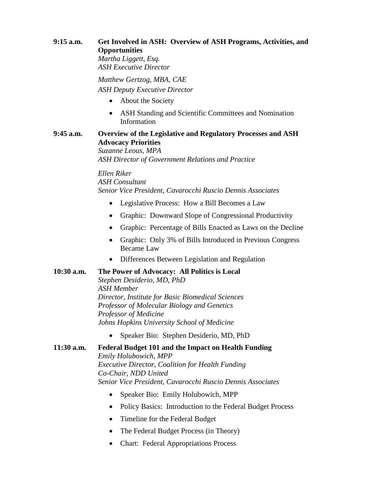# **9:15 a.m. Get Involved in ASH: Overview of ASH Programs, Activities, and Opportunities**

*Martha Liggett, Esq. ASH Executive Director*

*Matthew Gertzog, MBA, CAE ASH Deputy Executive Director*

- About the Society
- ASH Standing and Scientific Committees and Nomination Information

# **9:45 a.m. Overview of the Legislative and Regulatory Processes and ASH Advocacy Priorities**

*Suzanne Leous, MPA ASH Director of Government Relations and Practice*

*Ellen Riker ASH Consultant Senior Vice President, Cavarocchi Ruscio Dennis Associates*

- Legislative Process: How a Bill Becomes a Law
- Graphic: Downward Slope of Congressional Productivity
- Graphic: Percentage of Bills Enacted as Laws on the Decline
- Graphic: Only 3% of Bills Introduced in Previous Congress Became Law
- Differences Between Legislation and Regulation

#### **10:30 a.m. The Power of Advocacy: All Politics is Local**

*Stephen Desiderio, MD, PhD ASH Member Director, Institute for Basic Biomedical Sciences Professor of Molecular Biology and Genetics Professor of Medicine Johns Hopkins University School of Medicine*

Speaker Bio: Stephen Desiderio, MD, PhD

#### **11:30 a.m. Federal Budget 101 and the Impact on Health Funding**

*Emily Holubowich, MPP Executive Director, Coalition for Health Funding Co-Chair, NDD United Senior Vice President, Cavarocchi Ruscio Dennis Associates*

- Speaker Bio: Emily Holubowich, MPP
- Policy Basics: Introduction to the Federal Budget Process
- Timeline for the Federal Budget
- The Federal Budget Process (in Theory)
- Chart: Federal Appropriations Process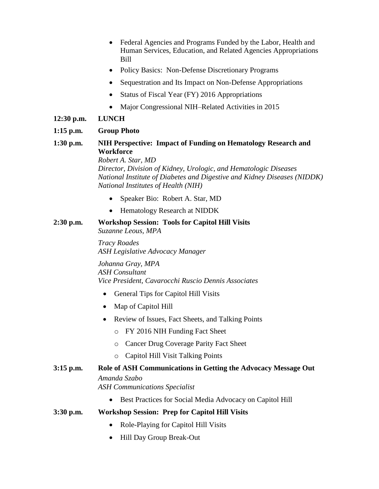- Federal Agencies and Programs Funded by the Labor, Health and Human Services, Education, and Related Agencies Appropriations Bill
- Policy Basics: Non-Defense Discretionary Programs
- Sequestration and Its Impact on Non-Defense Appropriations
- Status of Fiscal Year (FY) 2016 Appropriations
- Major Congressional NIH–Related Activities in 2015

#### **12:30 p.m. LUNCH**

#### **1:15 p.m. Group Photo**

# **1:30 p.m. NIH Perspective: Impact of Funding on Hematology Research and Workforce**

*Robert A. Star, MD*

*Director, Division of Kidney, Urologic, and Hematologic Diseases National Institute of Diabetes and Digestive and Kidney Diseases (NIDDK) National Institutes of Health (NIH)*

- Speaker Bio: Robert A. Star, MD
- Hematology Research at NIDDK

#### **2:30 p.m. Workshop Session: Tools for Capitol Hill Visits** *Suzanne Leous, MPA*

*Tracy Roades ASH Legislative Advocacy Manager*

*Johanna Gray, MPA ASH Consultant Vice President, Cavarocchi Ruscio Dennis Associates*

- General Tips for Capitol Hill Visits
- Map of Capitol Hill
- Review of Issues, Fact Sheets, and Talking Points
	- o FY 2016 NIH Funding Fact Sheet
	- o Cancer Drug Coverage Parity Fact Sheet
	- o Capitol Hill Visit Talking Points

# **3:15 p.m. Role of ASH Communications in Getting the Advocacy Message Out** *Amanda Szabo ASH Communications Specialist*

• Best Practices for Social Media Advocacy on Capitol Hill

#### **3:30 p.m. Workshop Session: Prep for Capitol Hill Visits**

- Role-Playing for Capitol Hill Visits
- Hill Day Group Break-Out